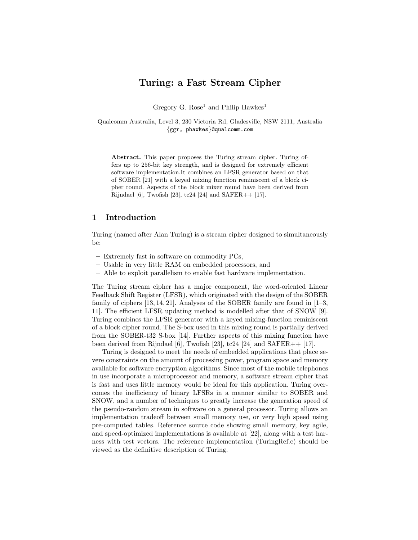# Turing: a Fast Stream Cipher

Gregory G. Rose<sup>1</sup> and Philip Hawkes<sup>1</sup>

Qualcomm Australia, Level 3, 230 Victoria Rd, Gladesville, NSW 2111, Australia {ggr, phawkes}@qualcomm.com

Abstract. This paper proposes the Turing stream cipher. Turing offers up to 256-bit key strength, and is designed for extremely efficient software implementation.It combines an LFSR generator based on that of SOBER [21] with a keyed mixing function reminiscent of a block cipher round. Aspects of the block mixer round have been derived from Rijndael [6], Twofish [23], tc24 [24] and SAFER++  $[17]$ .

# 1 Introduction

Turing (named after Alan Turing) is a stream cipher designed to simultaneously be:

- Extremely fast in software on commodity PCs,
- Usable in very little RAM on embedded processors, and
- Able to exploit parallelism to enable fast hardware implementation.

The Turing stream cipher has a major component, the word-oriented Linear Feedback Shift Register (LFSR), which originated with the design of the SOBER family of ciphers [13, 14, 21]. Analyses of the SOBER family are found in [1–3, 11]. The efficient LFSR updating method is modelled after that of SNOW [9]. Turing combines the LFSR generator with a keyed mixing-function reminiscent of a block cipher round. The S-box used in this mixing round is partially derived from the SOBER-t32 S-box [14]. Further aspects of this mixing function have been derived from Rijndael [6], Twofish [23], tc24 [24] and SAFER $++$  [17].

Turing is designed to meet the needs of embedded applications that place severe constraints on the amount of processing power, program space and memory available for software encryption algorithms. Since most of the mobile telephones in use incorporate a microprocessor and memory, a software stream cipher that is fast and uses little memory would be ideal for this application. Turing overcomes the inefficiency of binary LFSRs in a manner similar to SOBER and SNOW, and a number of techniques to greatly increase the generation speed of the pseudo-random stream in software on a general processor. Turing allows an implementation tradeoff between small memory use, or very high speed using pre-computed tables. Reference source code showing small memory, key agile, and speed-optimized implementations is available at [22], along with a test harness with test vectors. The reference implementation (TuringRef.c) should be viewed as the definitive description of Turing.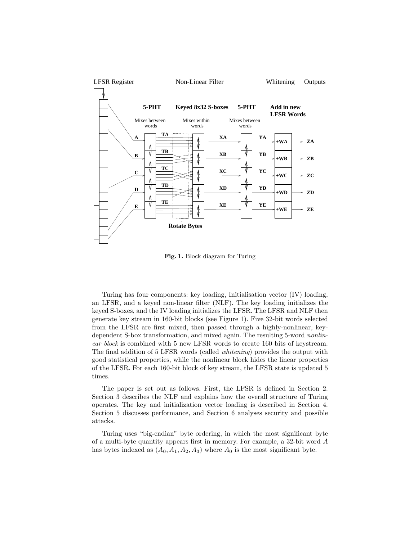

Fig. 1. Block diagram for Turing

Turing has four components: key loading, Initialisation vector (IV) loading, an LFSR, and a keyed non-linear filter (NLF). The key loading initializes the keyed S-boxes, and the IV loading initializes the LFSR. The LFSR and NLF then generate key stream in 160-bit blocks (see Figure 1). Five 32-bit words selected from the LFSR are first mixed, then passed through a highly-nonlinear, keydependent S-box transformation, and mixed again. The resulting 5-word nonlinear block is combined with 5 new LFSR words to create 160 bits of keystream. The final addition of 5 LFSR words (called whitening) provides the output with good statistical properties, while the nonlinear block hides the linear properties of the LFSR. For each 160-bit block of key stream, the LFSR state is updated 5 times.

The paper is set out as follows. First, the LFSR is defined in Section 2. Section 3 describes the NLF and explains how the overall structure of Turing operates. The key and initialization vector loading is described in Section 4. Section 5 discusses performance, and Section 6 analyses security and possible attacks.

Turing uses "big-endian" byte ordering, in which the most significant byte of a multi-byte quantity appears first in memory. For example, a 32-bit word A has bytes indexed as  $(A_0, A_1, A_2, A_3)$  where  $A_0$  is the most significant byte.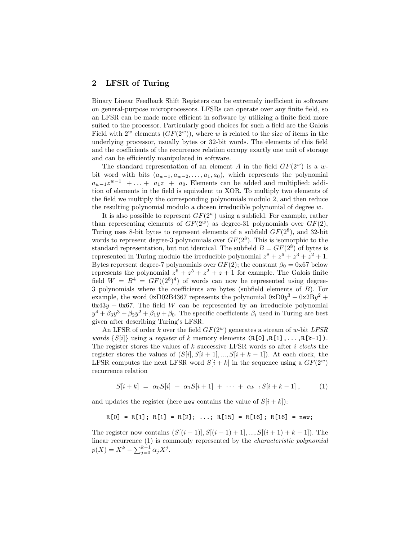# 2 LFSR of Turing

Binary Linear Feedback Shift Registers can be extremely inefficient in software on general-purpose microprocessors. LFSRs can operate over any finite field, so an LFSR can be made more efficient in software by utilizing a finite field more suited to the processor. Particularly good choices for such a field are the Galois Field with  $2^w$  elements  $(GF(2^w))$ , where w is related to the size of items in the underlying processor, usually bytes or 32-bit words. The elements of this field and the coefficients of the recurrence relation occupy exactly one unit of storage and can be efficiently manipulated in software.

The standard representation of an element A in the field  $GF(2^w)$  is a wbit word with bits  $(a_{w-1}, a_{w-2}, \ldots, a_1, a_0)$ , which represents the polynomial  $a_{w-1}z^{w-1}$  + ... +  $a_1z$  +  $a_0$ . Elements can be added and multiplied: addition of elements in the field is equivalent to XOR. To multiply two elements of the field we multiply the corresponding polynomials modulo 2, and then reduce the resulting polynomial modulo a chosen irreducible polynomial of degree  $w$ .

It is also possible to represent  $GF(2^w)$  using a subfield. For example, rather than representing elements of  $GF(2^w)$  as degree-31 polynomials over  $GF(2)$ , Turing uses 8-bit bytes to represent elements of a subfield  $GF(2^8)$ , and 32-bit words to represent degree-3 polynomials over  $GF(2^8)$ . This is isomorphic to the standard representation, but not identical. The subfield  $B = GF(2^8)$  of bytes is represented in Turing modulo the irreducible polynomial  $z^8 + z^6 + z^3 + z^2 + 1$ . Bytes represent degree-7 polynomials over  $GF(2)$ ; the constant  $\beta_0 = 0 \times 67$  below represents the polynomial  $z^6 + z^5 + z^2 + z + 1$  for example. The Galois finite field  $W = B^4 = GF((2^8)^4)$  of words can now be represented using degree-3 polynomials where the coefficients are bytes (subfield elements of B). For example, the word  $0xD02B4367$  represents the polynomial  $0xD0y^3 + 0x2By^2 +$  $0x43y + 0x67$ . The field W can be represented by an irreducible polynomial  $y^4 + \beta_3 y^3 + \beta_2 y^2 + \beta_1 y + \beta_0$ . The specific coefficients  $\beta_i$  used in Turing are best given after describing Turing's LFSR.

An LFSR of order k over the field  $GF(2<sup>w</sup>)$  generates a stream of w-bit LFSR *words*  $\{S[i]\}\$  using a *register* of k memory elements  $(R[0], R[1], \ldots, R[k-1])$ . The register stores the values of  $k$  successive LFSR words so after  $i$  clocks the register stores the values of  $(S[i], S[i+1], ..., S[i+k-1])$ . At each clock, the LFSR computes the next LFSR word  $S[i + k]$  in the sequence using a  $GF(2<sup>w</sup>)$ recurrence relation

$$
S[i+k] = \alpha_0 S[i] + \alpha_1 S[i+1] + \cdots + \alpha_{k-1} S[i+k-1], \qquad (1)
$$

and updates the register (here new contains the value of  $S[i + k]$ ):

$$
R[0] = R[1]; R[1] = R[2]; \ldots; R[15] = R[16]; R[16] = new;
$$

The register now contains  $(S[(i + 1)], S[(i + 1) + 1], ..., S[(i + 1) + k - 1])$ . The linear recurrence (1) is commonly represented by the characteristic polynomial  $p(X) = X^k - \sum_{j=0}^{k-1} \alpha_j X^j.$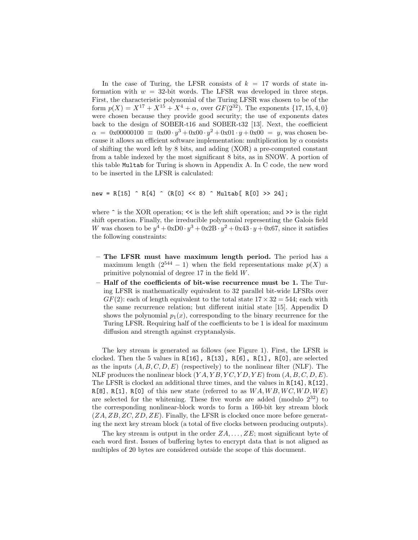In the case of Turing, the LFSR consists of  $k = 17$  words of state information with  $w = 32$ -bit words. The LFSR was developed in three steps. First, the characteristic polynomial of the Turing LFSR was chosen to be of the form  $p(X) = X^{17} + X^{15} + X^4 + \alpha$ , over  $GF(2^{32})$ . The exponents  $\{17, 15, 4, 0\}$ were chosen because they provide good security; the use of exponents dates back to the design of SOBER-t16 and SOBER-t32 [13]. Next, the coefficient  $\alpha = 0 \times 0.00000100 \equiv 0 \times 00 \cdot y^3 + 0 \times 00 \cdot y^2 + 0 \times 01 \cdot y + 0 \times 00 = y$ , was chosen because it allows an efficient software implementation: multiplication by  $\alpha$  consists of shifting the word left by 8 bits, and adding (XOR) a pre-computed constant from a table indexed by the most significant 8 bits, as in SNOW. A portion of this table Multab for Turing is shown in Appendix A. In C code, the new word to be inserted in the LFSR is calculated:

new = R[15]  $\hat{R}[4]$   $\hat{R}[0]$  << 8)  $\hat{N}[0]$  R[0] >> 24];

where  $\hat{\ }$  is the XOR operation;  $\langle \hat{\ }$  is the left shift operation; and  $\rangle$  is the right shift operation. Finally, the irreducible polynomial representing the Galois field W was chosen to be  $y^4 + 0xD0 \cdot y^3 + 0x2B \cdot y^2 + 0x43 \cdot y + 0x67$ , since it satisfies the following constraints:

- The LFSR must have maximum length period. The period has a maximum length  $(2^{544} - 1)$  when the field representations make  $p(X)$  a primitive polynomial of degree 17 in the field W.
- Half of the coefficients of bit-wise recurrence must be 1. The Turing LFSR is mathematically equivalent to 32 parallel bit-wide LFSRs over  $GF(2)$ : each of length equivalent to the total state  $17 \times 32 = 544$ ; each with the same recurrence relation; but different initial state [15]. Appendix D shows the polynomial  $p_1(x)$ , corresponding to the binary recurrence for the Turing LFSR. Requiring half of the coefficients to be 1 is ideal for maximum diffusion and strength against cryptanalysis.

The key stream is generated as follows (see Figure 1). First, the LFSR is clocked. Then the 5 values in  $R[16]$ ,  $R[13]$ ,  $R[6]$ ,  $R[1]$ ,  $R[0]$ , are selected as the inputs  $(A, B, C, D, E)$  (respectively) to the nonlinear filter (NLF). The NLF produces the nonlinear block  $(YA, YB, YC, YD, YE)$  from  $(A, B, C, D, E)$ . The LFSR is clocked an additional three times, and the values in R[14], R[12],  $R[8]$ ,  $R[1]$ ,  $R[0]$  of this new state (referred to as  $WA, WB, WC, WD, WE$ ) are selected for the whitening. These five words are added (modulo  $2^{32}$ ) to the corresponding nonlinear-block words to form a 160-bit key stream block  $(ZA, ZB, ZC, ZD, ZE)$ . Finally, the LFSR is clocked once more before generating the next key stream block (a total of five clocks between producing outputs).

The key stream is output in the order  $ZA,\ldots,ZE;$  most significant byte of each word first. Issues of buffering bytes to encrypt data that is not aligned as multiples of 20 bytes are considered outside the scope of this document.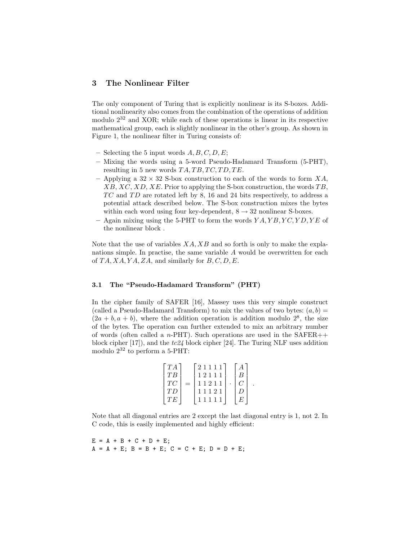# 3 The Nonlinear Filter

The only component of Turing that is explicitly nonlinear is its S-boxes. Additional nonlinearity also comes from the combination of the operations of addition modulo  $2^{32}$  and XOR; while each of these operations is linear in its respective mathematical group, each is slightly nonlinear in the other's group. As shown in Figure 1, the nonlinear filter in Turing consists of:

- Selecting the 5 input words  $A, B, C, D, E;$
- Mixing the words using a 5-word Pseudo-Hadamard Transform (5-PHT), resulting in 5 new words  $TA, TB, TC, TD, TE$ .
- Applying a  $32 \times 32$  S-box construction to each of the words to form XA,  $XB, XC, XD, XE$ . Prior to applying the S-box construction, the words  $TB$ ,  $TC$  and  $TD$  are rotated left by 8, 16 and 24 bits respectively, to address a potential attack described below. The S-box construction mixes the bytes within each word using four key-dependent,  $8\rightarrow 32$  nonlinear S-boxes.
- Again mixing using the 5-PHT to form the words  $YA, YB, YC, YD, YE$  of the nonlinear block .

Note that the use of variables  $XA, XB$  and so forth is only to make the explanations simple. In practise, the same variable A would be overwritten for each of  $TA, XA, YA, ZA$ , and similarly for  $B, C, D, E$ .

### 3.1 The "Pseudo-Hadamard Transform" (PHT)

In the cipher family of SAFER [16], Massey uses this very simple construct (called a Pseudo-Hadamard Transform) to mix the values of two bytes:  $(a, b)$  =  $(2a + b, a + b)$ , where the addition operation is addition modulo  $2^8$ , the size of the bytes. The operation can further extended to mix an arbitrary number of words (often called a n-PHT). Such operations are used in the  $SAFER++$ block cipher  $[17]$ , and the  $tc24$  block cipher  $[24]$ . The Turing NLF uses addition modulo  $2^{32}$  to perform a 5-PHT:

$$
\begin{bmatrix} TA \\ TB \\ TC \\ TD \\ TE \end{bmatrix} = \begin{bmatrix} 2 & 1 & 1 & 1 \\ 1 & 2 & 1 & 1 \\ 1 & 1 & 2 & 1 & 1 \\ 1 & 1 & 2 & 1 & 1 \\ 1 & 1 & 1 & 1 & 1 \end{bmatrix} \cdot \begin{bmatrix} A \\ B \\ C \\ D \\ E \end{bmatrix}.
$$

 $E = A + B + C + D + E;$  $A = A + E$ ;  $B = B + E$ ;  $C = C + E$ ;  $D = D + E$ ;

Note that all diagonal entries are 2 except the last diagonal entry is 1, not 2. In C code, this is easily implemented and highly efficient: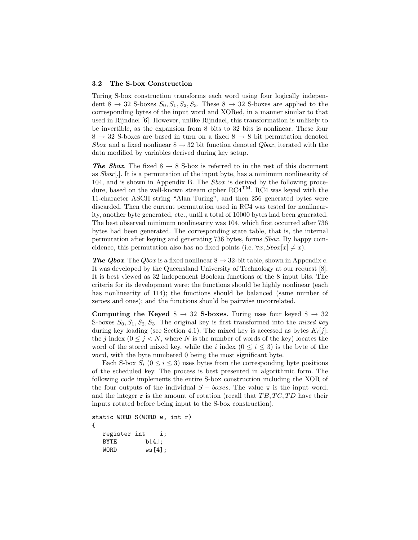#### 3.2 The S-box Construction

Turing S-box construction transforms each word using four logically independent  $8 \rightarrow 32$  S-boxes  $S_0, S_1, S_2, S_3$ . These  $8 \rightarrow 32$  S-boxes are applied to the corresponding bytes of the input word and XORed, in a manner similar to that used in Rijndael [6]. However, unlike Rijndael, this transformation is unlikely to be invertible, as the expansion from 8 bits to 32 bits is nonlinear. These four  $8 \rightarrow 32$  S-boxes are based in turn on a fixed  $8 \rightarrow 8$  bit permutation denoted Sbox and a fixed nonlinear  $8 \rightarrow 32$  bit function denoted  $Q$ box, iterated with the data modified by variables derived during key setup.

**The Sbox.** The fixed  $8 \rightarrow 8$  S-box is referred to in the rest of this document as  $Sbox[.]$ . It is a permutation of the input byte, has a minimum nonlinearity of 104, and is shown in Appendix B. The Sbox is derived by the following procedure, based on the well-known stream cipher  $RC4^{TM}$ .  $RC4$  was keyed with the 11-character ASCII string "Alan Turing", and then 256 generated bytes were discarded. Then the current permutation used in RC4 was tested for nonlinearity, another byte generated, etc., until a total of 10000 bytes had been generated. The best observed minimum nonlinearity was 104, which first occurred after 736 bytes had been generated. The corresponding state table, that is, the internal permutation after keying and generating 736 bytes, forms Sbox. By happy coincidence, this permutation also has no fixed points (i.e.  $\forall x, Sbox[x] \neq x$ ).

**The Qbox.** The Qbox is a fixed nonlinear  $8 \rightarrow 32$ -bit table, shown in Appendix c. It was developed by the Queensland University of Technology at our request [8]. It is best viewed as 32 independent Boolean functions of the 8 input bits. The criteria for its development were: the functions should be highly nonlinear (each has nonlinearity of 114); the functions should be balanced (same number of zeroes and ones); and the functions should be pairwise uncorrelated.

Computing the Keyed  $8 \rightarrow 32$  S-boxes. Turing uses four keyed  $8 \rightarrow 32$ S-boxes  $S_0, S_1, S_2, S_3$ . The original key is first transformed into the *mixed key* during key loading (see Section 4.1). The mixed key is accessed as bytes  $K_i[j]$ ; the j index  $(0 \le j \le N$ , where N is the number of words of the key) locates the word of the stored mixed key, while the i index  $(0 \le i \le 3)$  is the byte of the word, with the byte numbered 0 being the most significant byte.

Each S-box  $S_i$  ( $0 \le i \le 3$ ) uses bytes from the corresponding byte positions of the scheduled key. The process is best presented in algorithmic form. The following code implements the entire S-box construction including the XOR of the four outputs of the individual  $S - boxes$ . The value w is the input word, and the integer  $\mathbf r$  is the amount of rotation (recall that  $TB, TC, TD$  have their inputs rotated before being input to the S-box construction).

static WORD S(WORD w, int r) { register int i; BYTE b[4];

WORD ws[4];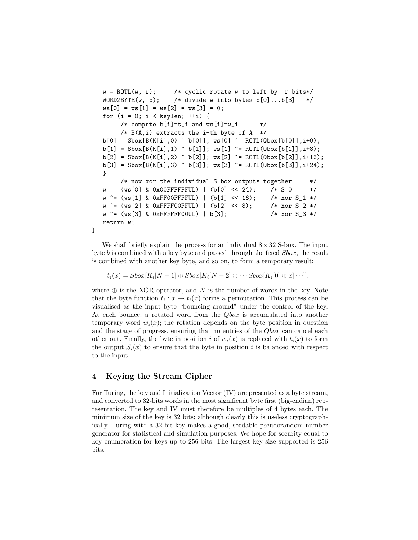```
w = ROTL(w, r); /* cyclic rotate w to left by r bits*/
WORD2BYTE(w, b); /* divide w into bytes b[0] \ldots b[3] */
ws[0] = ws[1] = ws[2] = ws[3] = 0;for (i = 0; i < keylen; ++i) {
     /* compute b[i]=t_i and ws[i]=w_i */
     /* B(A, i) extracts the i-th byte of A */
b[0] = Sbox[B(K[i], 0) \cap b[0]]; ws[0] \cap ROTL(Qbox[b[0]], i+0);b[1] = Sbox[B(K[i], 1) \cap b[1]]; ws[1] \cap ROTL(Qbox[b[1]], i+8);b[2] = Sbox[B(K[i], 2) \cap b[2]]; ws[2] \cap ROTL(Qbox[b[2]], i+16);b[3] = Sbox[B(K[i],3) \cap b[3]]; ws[3] \cap ROTL(Qbox[b[3]],i+24);}
     /* now xor the individual S-box outputs together */w = (ws[0] & 0x00FFFFFFUL) | (b[0] << 24); /* S_0 */
w \hat{=} (ws[1] & 0xFF00FFFFUL) | (b[1] << 16); /* xor S_1 */
w \hat{=} (ws[2] & 0xFFFF00FFUL) | (b[2] << 8); /* xor S_2 */
w = (ws[3] & 0xFFFFFF00UL) | b[3]; /* xor S_3 */
return w;
```
We shall briefly explain the process for an individual  $8 \times 32$  S-box. The input byte b is combined with a key byte and passed through the fixed Sbox, the result is combined with another key byte, and so on, to form a temporary result:

 $t_i(x) = Sbox[K_i[N-1] \oplus Sbox[K_i[N-2] \oplus \cdots Sbox[K_i[0] \oplus x] \cdots]],$ 

where  $\oplus$  is the XOR operator, and N is the number of words in the key. Note that the byte function  $t_i : x \to t_i(x)$  forms a permutation. This process can be visualised as the input byte "bouncing around" under the control of the key. At each bounce, a rotated word from the *Qbox* is accumulated into another temporary word  $w<sub>i</sub>(x)$ ; the rotation depends on the byte position in question and the stage of progress, ensuring that no entries of the *Qbox* can cancel each other out. Finally, the byte in position i of  $w_i(x)$  is replaced with  $t_i(x)$  to form the output  $S_i(x)$  to ensure that the byte in position i is balanced with respect to the input.

# 4 Keying the Stream Cipher

}

For Turing, the key and Initialization Vector (IV) are presented as a byte stream, and converted to 32-bits words in the most significant byte first (big-endian) representation. The key and IV must therefore be multiples of 4 bytes each. The minimum size of the key is 32 bits; although clearly this is useless cryptographically, Turing with a 32-bit key makes a good, seedable pseudorandom number generator for statistical and simulation purposes. We hope for security equal to key enumeration for keys up to 256 bits. The largest key size supported is 256 bits.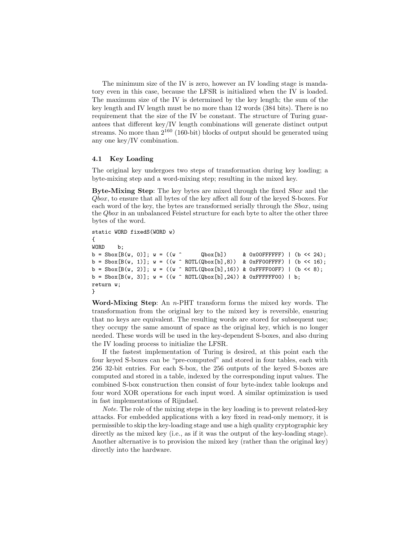The minimum size of the IV is zero, however an IV loading stage is mandatory even in this case, because the LFSR is initialized when the IV is loaded. The maximum size of the IV is determined by the key length; the sum of the key length and IV length must be no more than 12 words (384 bits). There is no requirement that the size of the IV be constant. The structure of Turing guarantees that different key/IV length combinations will generate distinct output streams. No more than  $2^{160}$  (160-bit) blocks of output should be generated using any one key/IV combination.

#### 4.1 Key Loading

The original key undergoes two steps of transformation during key loading; a byte-mixing step and a word-mixing step; resulting in the mixed key.

Byte-Mixing Step: The key bytes are mixed through the fixed Sbox and the Qbox, to ensure that all bytes of the key affect all four of the keyed S-boxes. For each word of the key, the bytes are transformed serially through the Sbox, using the Qbox in an unbalanced Feistel structure for each byte to alter the other three bytes of the word.

```
static WORD fixedS(WORD w)
{
WORD b;
b = \text{Sbox}[B(w, 0)]; w = ((w \cap \text{Qbox}[b]) & 0x00FFFFFFF) | (b << 24);
b = Sbox[B(w, 1)]; w = ((w \cap ROTL(Qbox[b], 8)) & XOxFFOOFFFF) | (b \ll 16);b = Sbox[B(w, 2)]; w = ((w \cap ROTL(Qbox[b], 16)) \& OxFFFF00FF) | (b << 8);b = Sbox[B(w, 3)]; w = ((w \cap ROTL(Qbox[b], 24)) & OxFFFFFFO0) | b;return w;
}
```
Word-Mixing Step: An n-PHT transform forms the mixed key words. The transformation from the original key to the mixed key is reversible, ensuring that no keys are equivalent. The resulting words are stored for subsequent use; they occupy the same amount of space as the original key, which is no longer needed. These words will be used in the key-dependent S-boxes, and also during the IV loading process to initialize the LFSR.

If the fastest implementation of Turing is desired, at this point each the four keyed S-boxes can be "pre-computed" and stored in four tables, each with 256 32-bit entries. For each S-box, the 256 outputs of the keyed S-boxes are computed and stored in a table, indexed by the corresponding input values. The combined S-box construction then consist of four byte-index table lookups and four word XOR operations for each input word. A similar optimization is used in fast implementations of Rijndael.

Note. The role of the mixing steps in the key loading is to prevent related-key attacks. For embedded applications with a key fixed in read-only memory, it is permissible to skip the key-loading stage and use a high quality cryptographic key directly as the mixed key (i.e., as if it was the output of the key-loading stage). Another alternative is to provision the mixed key (rather than the original key) directly into the hardware.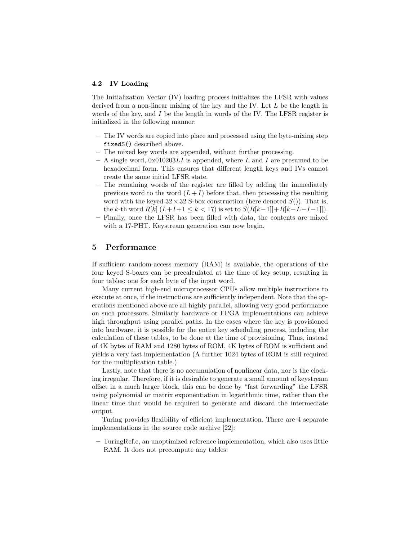#### 4.2 IV Loading

The Initialization Vector (IV) loading process initializes the LFSR with values derived from a non-linear mixing of the key and the IV. Let L be the length in words of the key, and  $I$  be the length in words of the IV. The LFSR register is initialized in the following manner:

- The IV words are copied into place and processed using the byte-mixing step fixedS() described above.
- The mixed key words are appended, without further processing.
- A single word,  $0x010203LI$  is appended, where L and I are presumed to be hexadecimal form. This ensures that different length keys and IVs cannot create the same initial LFSR state.
- The remaining words of the register are filled by adding the immediately previous word to the word  $(L+I)$  before that, then processing the resulting word with the keyed  $32 \times 32$  S-box construction (here denoted  $S()$ ). That is, the k-th word  $R[k]$   $(L+I+1 \leq k < 17)$  is set to  $S(R[k-1]]+R[k-L-I-1]]$ .
- Finally, once the LFSR has been filled with data, the contents are mixed with a 17-PHT. Keystream generation can now begin.

# 5 Performance

If sufficient random-access memory (RAM) is available, the operations of the four keyed S-boxes can be precalculated at the time of key setup, resulting in four tables: one for each byte of the input word.

Many current high-end microprocessor CPUs allow multiple instructions to execute at once, if the instructions are sufficiently independent. Note that the operations mentioned above are all highly parallel, allowing very good performance on such processors. Similarly hardware or FPGA implementations can achieve high throughput using parallel paths. In the cases where the key is provisioned into hardware, it is possible for the entire key scheduling process, including the calculation of these tables, to be done at the time of provisioning. Thus, instead of 4K bytes of RAM and 1280 bytes of ROM, 4K bytes of ROM is sufficient and yields a very fast implementation (A further 1024 bytes of ROM is still required for the multiplication table.)

Lastly, note that there is no accumulation of nonlinear data, nor is the clocking irregular. Therefore, if it is desirable to generate a small amount of keystream offset in a much larger block, this can be done by "fast forwarding" the LFSR using polynomial or matrix exponentiation in logarithmic time, rather than the linear time that would be required to generate and discard the intermediate output.

Turing provides flexibility of efficient implementation. There are 4 separate implementations in the source code archive [22]:

– TuringRef.c, an unoptimized reference implementation, which also uses little RAM. It does not precompute any tables.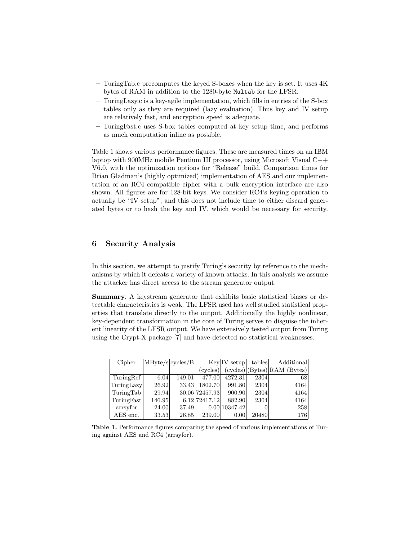- TuringTab.c precomputes the keyed S-boxes when the key is set. It uses 4K bytes of RAM in addition to the 1280-byte Multab for the LFSR.
- TuringLazy.c is a key-agile implementation, which fills in entries of the S-box tables only as they are required (lazy evaluation). Thus key and IV setup are relatively fast, and encryption speed is adequate.
- TuringFast.c uses S-box tables computed at key setup time, and performs as much computation inline as possible.

Table 1 shows various performance figures. These are measured times on an IBM laptop with 900MHz mobile Pentium III processor, using Microsoft Visual C++ V6.0, with the optimization options for "Release" build. Comparison times for Brian Gladman's (highly optimized) implementation of AES and our implementation of an RC4 compatible cipher with a bulk encryption interface are also shown. All figures are for 128-bit keys. We consider RC4's keying operation to actually be "IV setup", and this does not include time to either discard generated bytes or to hash the key and IV, which would be necessary for security.

# 6 Security Analysis

In this section, we attempt to justify Turing's security by reference to the mechanisms by which it defeats a variety of known attacks. In this analysis we assume the attacker has direct access to the stream generator output.

Summary. A keystream generator that exhibits basic statistical biases or detectable characteristics is weak. The LFSR used has well studied statistical properties that translate directly to the output. Additionally the highly nonlinear, key-dependent transformation in the core of Turing serves to disguise the inherent linearity of the LFSR output. We have extensively tested output from Turing using the Crypt-X package [7] and have detected no statistical weaknesses.

| Cipher     | MByte/s cycles/B |        |                | $Key IV$ setup | tables | <b>Additional</b>           |
|------------|------------------|--------|----------------|----------------|--------|-----------------------------|
|            |                  |        | (cycles)       |                |        | (cycles) (Bytes) RAM(Bytes) |
| TuringRef  | 6.04             | 149.01 | 477.00         | 4272.31        | 2304   | 68                          |
| TuringLazy | 26.92            | 33.43  | 1802.70        | 991.80         | 2304   | 4164                        |
| TuringTab  | 29.94            |        | 30.06 72457.93 | 900.90         | 2304   | 4164                        |
| TuringFast | 146.95           |        | 6.12 724 17.12 | 882.90         | 2304   | 4164                        |
| arrsyfor   | 24.00            | 37.49  |                | 0.00 10347.42  |        | 258                         |
| AES enc.   | 33.53            | 26.85  | 239.00         | 0.00           | 20480  | 176                         |

Table 1. Performance figures comparing the speed of various implementations of Turing against AES and RC4 (arrsyfor).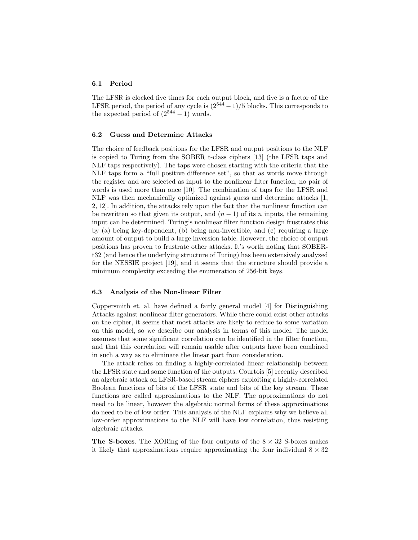#### 6.1 Period

The LFSR is clocked five times for each output block, and five is a factor of the LFSR period, the period of any cycle is  $(2^{544} - 1)/5$  blocks. This corresponds to the expected period of  $(2^{544} - 1)$  words.

#### 6.2 Guess and Determine Attacks

The choice of feedback positions for the LFSR and output positions to the NLF is copied to Turing from the SOBER t-class ciphers [13] (the LFSR taps and NLF taps respectively). The taps were chosen starting with the criteria that the NLF taps form a "full positive difference set", so that as words move through the register and are selected as input to the nonlinear filter function, no pair of words is used more than once [10]. The combination of taps for the LFSR and NLF was then mechanically optimized against guess and determine attacks [1, 2, 12]. In addition, the attacks rely upon the fact that the nonlinear function can be rewritten so that given its output, and  $(n-1)$  of its n inputs, the remaining input can be determined. Turing's nonlinear filter function design frustrates this by (a) being key-dependent, (b) being non-invertible, and (c) requiring a large amount of output to build a large inversion table. However, the choice of output positions has proven to frustrate other attacks. It's worth noting that SOBERt32 (and hence the underlying structure of Turing) has been extensively analyzed for the NESSIE project [19], and it seems that the structure should provide a minimum complexity exceeding the enumeration of 256-bit keys.

#### 6.3 Analysis of the Non-linear Filter

Coppersmith et. al. have defined a fairly general model [4] for Distinguishing Attacks against nonlinear filter generators. While there could exist other attacks on the cipher, it seems that most attacks are likely to reduce to some variation on this model, so we describe our analysis in terms of this model. The model assumes that some significant correlation can be identified in the filter function, and that this correlation will remain usable after outputs have been combined in such a way as to eliminate the linear part from consideration.

The attack relies on finding a highly-correlated linear relationship between the LFSR state and some function of the outputs. Courtois [5] recently described an algebraic attack on LFSR-based stream ciphers exploiting a highly-correlated Boolean functions of bits of the LFSR state and bits of the key stream. These functions are called approximations to the NLF. The approximations do not need to be linear, however the algebraic normal forms of these approximations do need to be of low order. This analysis of the NLF explains why we believe all low-order approximations to the NLF will have low correlation, thus resisting algebraic attacks.

**The S-boxes.** The XORing of the four outputs of the  $8 \times 32$  S-boxes makes it likely that approximations require approximating the four individual  $8 \times 32$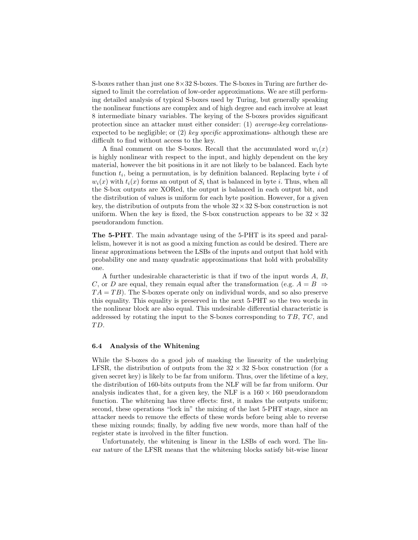S-boxes rather than just one  $8 \times 32$  S-boxes. The S-boxes in Turing are further designed to limit the correlation of low-order approximations. We are still performing detailed analysis of typical S-boxes used by Turing, but generally speaking the nonlinear functions are complex and of high degree and each involve at least 8 intermediate binary variables. The keying of the S-boxes provides significant protection since an attacker must either consider: (1) average-key correlationsexpected to be negligible; or  $(2)$  key specific approximations- although these are difficult to find without access to the key.

A final comment on the S-boxes. Recall that the accumulated word  $w_i(x)$ is highly nonlinear with respect to the input, and highly dependent on the key material, however the bit positions in it are not likely to be balanced. Each byte function  $t_i$ , being a permutation, is by definition balanced. Replacing byte  $i$  of  $w_i(x)$  with  $t_i(x)$  forms an output of  $S_i$  that is balanced in byte i. Thus, when all the S-box outputs are XORed, the output is balanced in each output bit, and the distribution of values is uniform for each byte position. However, for a given key, the distribution of outputs from the whole  $32 \times 32$  S-box construction is not uniform. When the key is fixed, the S-box construction appears to be  $32 \times 32$ pseudorandom function.

The 5-PHT. The main advantage using of the 5-PHT is its speed and parallelism, however it is not as good a mixing function as could be desired. There are linear approximations between the LSBs of the inputs and output that hold with probability one and many quadratic approximations that hold with probability one.

A further undesirable characteristic is that if two of the input words A, B, C, or D are equal, they remain equal after the transformation (e.g.  $A = B \Rightarrow$  $TA = TB$ ). The S-boxes operate only on individual words, and so also preserve this equality. This equality is preserved in the next 5-PHT so the two words in the nonlinear block are also equal. This undesirable differential characteristic is addressed by rotating the input to the S-boxes corresponding to  $TB$ ,  $TC$ , and TD.

#### 6.4 Analysis of the Whitening

While the S-boxes do a good job of masking the linearity of the underlying LFSR, the distribution of outputs from the  $32 \times 32$  S-box construction (for a given secret key) is likely to be far from uniform. Thus, over the lifetime of a key, the distribution of 160-bits outputs from the NLF will be far from uniform. Our analysis indicates that, for a given key, the NLF is a  $160 \times 160$  pseudorandom function. The whitening has three effects: first, it makes the outputs uniform; second, these operations "lock in" the mixing of the last 5-PHT stage, since an attacker needs to remove the effects of these words before being able to reverse these mixing rounds; finally, by adding five new words, more than half of the register state is involved in the filter function.

Unfortunately, the whitening is linear in the LSBs of each word. The linear nature of the LFSR means that the whitening blocks satisfy bit-wise linear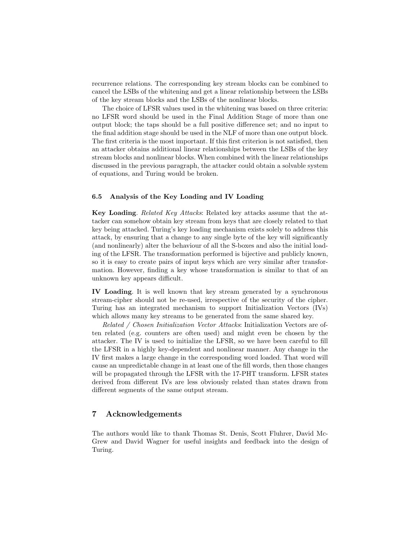recurrence relations. The corresponding key stream blocks can be combined to cancel the LSBs of the whitening and get a linear relationship between the LSBs of the key stream blocks and the LSBs of the nonlinear blocks.

The choice of LFSR values used in the whitening was based on three criteria: no LFSR word should be used in the Final Addition Stage of more than one output block; the taps should be a full positive difference set; and no input to the final addition stage should be used in the NLF of more than one output block. The first criteria is the most important. If this first criterion is not satisfied, then an attacker obtains additional linear relationships between the LSBs of the key stream blocks and nonlinear blocks. When combined with the linear relationships discussed in the previous paragraph, the attacker could obtain a solvable system of equations, and Turing would be broken.

### 6.5 Analysis of the Key Loading and IV Loading

Key Loading. Related Key Attacks: Related key attacks assume that the attacker can somehow obtain key stream from keys that are closely related to that key being attacked. Turing's key loading mechanism exists solely to address this attack, by ensuring that a change to any single byte of the key will significantly (and nonlinearly) alter the behaviour of all the S-boxes and also the initial loading of the LFSR. The transformation performed is bijective and publicly known, so it is easy to create pairs of input keys which are very similar after transformation. However, finding a key whose transformation is similar to that of an unknown key appears difficult.

IV Loading. It is well known that key stream generated by a synchronous stream-cipher should not be re-used, irrespective of the security of the cipher. Turing has an integrated mechanism to support Initialization Vectors (IVs) which allows many key streams to be generated from the same shared key.

Related / Chosen Initialization Vector Attacks: Initialization Vectors are often related (e.g. counters are often used) and might even be chosen by the attacker. The IV is used to initialize the LFSR, so we have been careful to fill the LFSR in a highly key-dependent and nonlinear manner. Any change in the IV first makes a large change in the corresponding word loaded. That word will cause an unpredictable change in at least one of the fill words, then those changes will be propagated through the LFSR with the 17-PHT transform. LFSR states derived from different IVs are less obviously related than states drawn from different segments of the same output stream.

# 7 Acknowledgements

The authors would like to thank Thomas St. Denis, Scott Fluhrer, David Mc-Grew and David Wagner for useful insights and feedback into the design of Turing.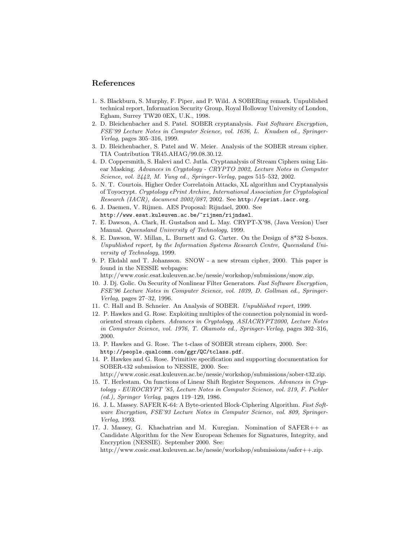### References

- 1. S. Blackburn, S. Murphy, F. Piper, and P. Wild. A SOBERing remark. Unpublished technical report, Information Security Group, Royal Holloway University of London, Egham, Surrey TW20 0EX, U.K., 1998.
- 2. D. Bleichenbacher and S. Patel. SOBER cryptanalysis. Fast Software Encryption, FSE'99 Lecture Notes in Computer Science, vol. 1636, L. Knudsen ed., Springer-Verlag, pages 305–316, 1999.
- 3. D. Bleichenbacher, S. Patel and W. Meier. Analysis of the SOBER stream cipher. TIA Contribution TR45.AHAG/99.08.30.12.
- 4. D. Coppersmith, S. Halevi and C. Jutla. Cryptanalysis of Stream Ciphers using Linear Masking. Advances in Cryptology - CRYPTO 2002, Lecture Notes in Computer Science, vol. 2442, M. Yung ed., Springer-Verlag, pages 515–532, 2002.
- 5. N. T. Courtois. Higher Order Correlatoin Attacks, XL algorithm and Cryptanalysis of Toyocrypt. Cryptology ePrint Archive, International Association for Cryptological Research (IACR), document 2002/087, 2002. See http://eprint.iacr.org.
- 6. J. Daemen, V. Rijmen. AES Proposal: Rijndael, 2000. See http://www.esat.kuleuven.ac.be/~rijmen/rijndael.
- 7. E. Dawson, A. Clark, H. Gustafson and L. May. CRYPT-X'98, (Java Version) User Manual. Queensland University of Technology, 1999.
- 8. E. Dawson, W. Millan, L. Burnett and G. Carter. On the Design of 8\*32 S-boxes. Unpublished report, by the Information Systems Research Centre, Queensland University of Technology, 1999.
- 9. P. Ekdahl and T. Johansson. SNOW a new stream cipher, 2000. This paper is found in the NESSIE webpages:

http://www.cosic.esat.kuleuven.ac.be/nessie/workshop/submissions/snow.zip.

- 10. J. Dj. Golic. On Security of Nonlinear Filter Generators. Fast Software Encryption, FSE'96 Lecture Notes in Computer Science, vol. 1039, D. Gollman ed., Springer-Verlag, pages 27–32, 1996.
- 11. C. Hall and B. Schneier. An Analysis of SOBER. Unpublished report, 1999.
- 12. P. Hawkes and G. Rose. Exploiting multiples of the connection polynomial in wordoriented stream ciphers. Advances in Cryptology, ASIACRYPT2000, Lecture Notes in Computer Science, vol. 1976, T. Okamoto ed., Springer-Verlag, pages 302–316, 2000.
- 13. P. Hawkes and G. Rose. The t-class of SOBER stream ciphers, 2000. See: http://people.qualcomm.com/ggr/QC/tclass.pdf.
- 14. P. Hawkes and G. Rose. Primitive specification and supporting documentation for SOBER-t32 submission to NESSIE, 2000. See:

http://www.cosic.esat.kuleuven.ac.be/nessie/workshop/submissions/sober-t32.zip.

- 15. T. Herlestam. On functions of Linear Shift Register Sequences. Advances in Cryptology - EUROCRYPT '85, Lecture Notes in Computer Science, vol. 219, F. Pichler (ed.), Springer Verlag, pages 119–129, 1986.
- 16. J. L. Massey. SAFER K-64: A Byte-oriented Block-Ciphering Algorithm. Fast Software Encryption, FSE'93 Lecture Notes in Computer Science, vol. 809, Springer-Verlag, 1993.
- 17. J. Massey, G. Khachatrian and M. Kuregian. Nomination of SAFER++ as Candidate Algorithm for the New European Schemes for Signatures, Integrity, and Encryption (NESSIE). September 2000. See:

http://www.cosic.esat.kuleuven.ac.be/nessie/workshop/submissions/safer++.zip.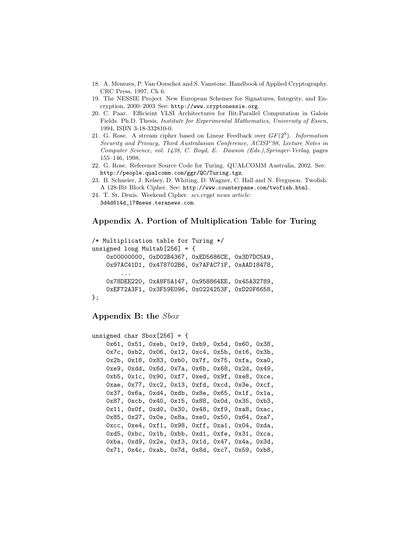- 18. A. Menezes, P. Van Oorschot and S. Vanstone. Handbook of Applied Cryptography. CRC Press, 1997, Ch 6.
- 19. The NESSIE Project New European Schemes for Signatures, Integrity, and Encryption, 2000–2003 See: http://www.cryptonessie.org.
- 20. C. Paar. Efficieint VLSI Architectures for Bit-Parallel Computation in Galois Fields. Ph.D. Thesis, Institute for Experimental Mathematics, University of Essen, 1994, ISBN 3-18-332810-0.
- 21. G. Rose. A stream cipher based on Linear Feedback over  $GF(2^8)$ . Information Security and Privacy, Third Australasian Conference, ACISP'98, Lecture Notes in Computer Science, vol. 1438, C. Boyd, E. Dawson (Eds.),Springer-Verlag, pages 155–146, 1998.
- 22. G. Rose. Reference Source Code for Turing. QUALCOMM Australia, 2002. See: http://people.qualcomm.com/ggr/QC/Turing.tgz.
- 23. B. Schneier, J. Kelsey, D. Whiting, D. Wagner, C. Hall and N. Ferguson. Twofish: A 128-Bit Block Cipher. See: http://www.counterpane.com/twofish.html.
- 24. T. St. Denis. Weekend Cipher. sci.crypt news article: 3d4d614d\_17@news.teranews.com.

## Appendix A. Portion of Multiplication Table for Turing

```
/* Multiplication table for Turing */
unsigned long Multab[256] = \{0x00000000, 0xD02B4367, 0xED5686CE, 0x3D7DC5A9,
    0x97AC41D1, 0x478702B6, 0x7AFAC71F, 0xAAD18478,
        ...
    0x78DEE220, 0xA8F5A147, 0x958864EE, 0x45A32789,
    0xEF72A3F1, 0x3F59E096, 0x0224253F, 0xD20F6658,
};
```
### Appendix B: the Sbox

```
unsigned char Sbox[256] = \{0x61, 0x51, 0xeb, 0x19, 0xb9, 0x5d, 0x60, 0x38,
    0x7c, 0xb2, 0x06, 0x12, 0xc4, 0x5b, 0x16, 0x3b,
    0x2b, 0x18, 0x83, 0xb0, 0x7f, 0x75, 0xfa, 0xa0,
    0xe9, 0xdd, 0x6d, 0x7a, 0x6b, 0x68, 0x2d, 0x49,
    0xb5, 0x1c, 0x90, 0xf7, 0xed, 0x9f, 0xe8, 0xce,
    0xae, 0x77, 0xc2, 0x13, 0xfd, 0xcd, 0x3e, 0xcf,
    0x37, 0x6a, 0xd4, 0xdb, 0x8e, 0x65, 0x1f, 0x1a,
    0x87, 0xcb, 0x40, 0x15, 0x88, 0x0d, 0x35, 0xb3,
    0x11, 0x0f, 0xd0, 0x30, 0x48, 0xf9, 0xa8, 0xac,
    0x85, 0x27, 0x0e, 0x8a, 0xe0, 0x50, 0x64, 0xa7,
    0xcc, 0xe4, 0xf1, 0x98, 0xff, 0xa1, 0x04, 0xda,
    0xd5, 0xbc, 0x1b, 0xbb, 0xd1, 0xfe, 0x31, 0xca,
    0xba, 0xd9, 0x2e, 0xf3, 0x1d, 0x47, 0x4a, 0x3d,
    0x71, 0x4c, 0xab, 0x7d, 0x8d, 0xc7, 0x59, 0xb8,
```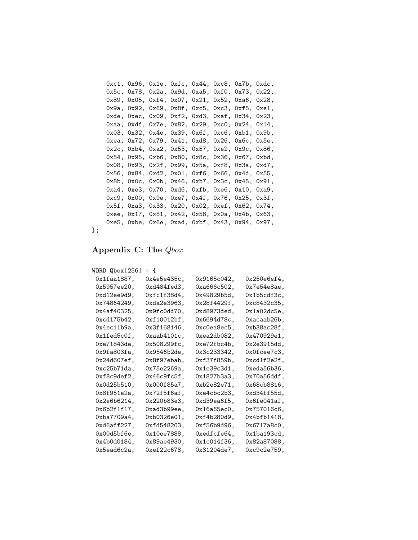```
0xc1, 0x96, 0x1e, 0xfc, 0x44, 0xc8, 0x7b, 0xdc,
0x5c, 0x78, 0x2a, 0x9d, 0xa5, 0xf0, 0x73, 0x22,
0x89, 0x05, 0xf4, 0x07, 0x21, 0x52, 0xa6, 0x28,
0x9a, 0x92, 0x69, 0x8f, 0xc5, 0xc3, 0xf5, 0xe1,
0xde, 0xec, 0x09, 0xf2, 0xd3, 0xaf, 0x34, 0x23,
0xaa, 0xdf, 0x7e, 0x82, 0x29, 0xc0, 0x24, 0x14,
0x03, 0x32, 0x4e, 0x39, 0x6f, 0xc6, 0xb1, 0x9b,
0xea, 0x72, 0x79, 0x41, 0xd8, 0x26, 0x6c, 0x5e,
0x2c, 0xb4, 0xa2, 0x53, 0x57, 0xe2, 0x9c, 0x86,
0x54, 0x95, 0xb6, 0x80, 0x8c, 0x36, 0x67, 0xbd,
0x08, 0x93, 0x2f, 0x99, 0x5a, 0xf8, 0x3a, 0xd7,
0x56, 0x84, 0xd2, 0x01, 0xf6, 0x66, 0x4d, 0x55,
0x8b, 0x0c, 0x0b, 0x46, 0xb7, 0x3c, 0x45, 0x91,
0xa4, 0xe3, 0x70, 0xd6, 0xfb, 0xe6, 0x10, 0xa9,
0xc9, 0x00, 0x9e, 0xe7, 0x4f, 0x76, 0x25, 0x3f,
0x5f, 0xa3, 0x33, 0x20, 0x02, 0xef, 0x62, 0x74,
0xee, 0x17, 0x81, 0x42, 0x58, 0x0a, 0x4b, 0x63,
0xe5, 0xbe, 0x6e, 0xad, 0xbf, 0x43, 0x94, 0x97,
```
};

# Appendix C: The Qbox

```
WORD Qbox[256] = \{
```

| 0x1faa1887 <b>.</b> | 0x4e5e435c <b>.</b> | 0x9165c042,         | 0x250e6ef4,  |
|---------------------|---------------------|---------------------|--------------|
| 0x5957ee20,         | 0xd484fed3,         | 0xa666c502,         | 0x7e54e8ae,  |
| 0xd12ee9d9,         | 0xfc1f38d4,         | 0x49829b5d,         | 0x1b5cdf3c,  |
| 0x74864249,         | 0xda2e3963,         | 0x28f4429f,         | 0xc8432c35,  |
| 0x4af40325,         | .0x9fc0dd70         | 0xd8973ded,         | 0x1a02dc5e,  |
| 0xcd175b42,         | 0xf10012bf,         | 0x6694d78c,         | Oxacaab26b,  |
| 0x4ec11b9a,         | 0x3f168146,         | .0xc0ea8ec5         | . 0xb38ac28f |
| Ox1fed5cOf,         | ,0xaab4101c         | 0xea2db082,         | 0x470929e1,  |
| 0xe71843de,         | 0x508299fc,         | Oxe72fbc4b,         | 0x2e3915dd,  |
| 0x9fa803fa,         | .0x9546b2de         | 0x3c233342,         | 0x0fcee7c3,  |
| . 0x24d607ef        | 0x8f97ebab,         | 0xf37f859b,         | 0xcd1f2e2f,  |
| 0xc25b71da,         | 0x75e2269a.         | 0x1e39c3d1,         | 0xeda56b36,  |
| 0xf8c9def2,         | 0x46c9fc5f <b>.</b> | 0x1827b3a3,         | 0x70a56ddf,  |
| 0x0d25b510.         | 0x000f85a7.         | 0xb2e82e71 <b>.</b> | 0x68cb8816,  |
| 0x8f951e2a,         | 0x72f5f6af,         | 0xe4cbc2b3,         | 0xd34ff55d,  |
| 0x2e6b6214,         | 0x220b83e3,         | 0xd39ea6f5,         | 0x6fe041af,  |
| 0x6b2f1f17,         | 0xad3b99ee,         | 0x16a65ec0,         | 0x757016c6,  |
| 0xba7709a4,         | 0xb0326e01,         | 0xf4b280d9,         | 0x4bfb1418,  |
| 0xd6aff227,         | 0xfd548203,         | 0xf56b9d96,         | 0x6717a8c0,  |
| 0x00d5bf6e,         | 0x10ee7888,         | Oxedfcfe64,         | 0x1ba193cd,  |
| 0x4b0d0184,         | 0x89ae4930 <b>.</b> | 0x1c014f36,         | 0x82a87088,  |
| .0x5ead6c2a         | 0xef22c678,         | 0x31204de7,         | 0xc9c2e759,  |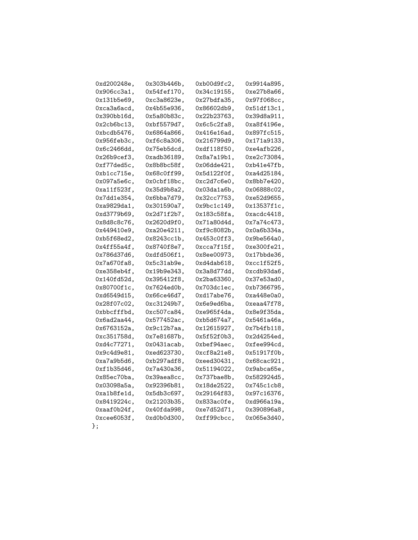| 0xd200248e,        | 0x303b446b, | 0xb00d9fc2, | 0x9914a895, |
|--------------------|-------------|-------------|-------------|
| 0x906cc3a1,        | 0x54fef170, | 0x34c19155, | 0xe27b8a66, |
| 0x131b5e69,        | 0xc3a8623e, | 0x27bdfa35, | 0x97f068cc, |
| Oxca3a6acd,        | 0x4b55e936, | 0x86602db9, | 0x51df13c1, |
| 0x390bb16d,        | 0x5a80b83c, | 0x22b23763, | 0x39d8a911, |
| 0x2cb6bc13,        | 0xbf5579d7, | 0x6c5c2fa8, | 0xa8f4196e, |
| 0xbcdb5476,        | 0x6864a866, | 0x416e16ad, | 0x897fc515, |
| 0x956feb3c,        | 0xf6c8a306, | 0x216799d9, | 0x171a9133, |
| 0x6c2466dd,        | 0x75eb5dcd, | 0xdf118f50, | 0xe4afb226, |
| 0x26b9cef3,        | 0xadb36189, | 0x8a7a19b1, | 0xe2c73084, |
| 0xf77ded5c,        | 0x8b8bc58f, | 0x06dde421, | 0xb41e47fb, |
| 0xb1cc715e,        | 0x68c0ff99, | 0x5d122f0f, | 0xa4d25184, |
| 0x097a5e6c,        | OxOcbf18bc, | 0xc2d7c6e0, | 0x8bb7e420, |
| 0xa11f523f,        | 0x35d9b8a2, | 0x03da1a6b, | 0x06888c02, |
| 0x7dd1e354,        | 0x6bba7d79, | 0x32cc7753, | 0xe52d9655, |
| 0xa9829da1,        | 0x301590a7, | 0x9bc1c149, | 0x13537f1c, |
| 0xd3779b69,        | 0x2d71f2b7, | 0x183c58fa, | 0xacdc4418, |
| 0x8d8c8c76,        | 0x2620d9f0, | 0x71a80d4d, | 0x7a74c473, |
| 0x449410e9,        | 0xa20e4211, | 0xf9c8082b, | 0x0a6b334a, |
| 0xb5f68ed2,        | 0x8243cc1b, | 0x453c0ff3, | 0x9be564a0, |
| 0x4ff55a4f,        | 0x8740f8e7, | 0xcca7f15f, | 0xe300fe21, |
| 0x786d37d6,        | 0xdfd506f1, | 0x8ee00973, | 0x17bbde36, |
| 0x7a670fa8,        | 0x5c31ab9e, | 0xd4dab618, | 0xcc1f52f5, |
| 0xe358eb4f,        | 0x19b9e343, | 0x3a8d77dd, | 0xcdb93da6, |
| 0x140fd52d,        | 0x395412f8, | 0x2ba63360, | 0x37e53ad0, |
| 0x80700f1c,        | 0x7624ed0b, | 0x703dc1ec, | 0xb7366795, |
| 0xd6549d15,        | 0x66ce46d7, | 0xd17abe76, | 0xa448e0a0, |
| 0x28f07c02,        | 0xc31249b7, | 0x6e9ed6ba, | 0xeaa47f78, |
| Oxbbcfffbd,        | 0xc507ca84, | 0xe965f4da, | 0x8e9f35da, |
| 0x6ad2aa44,        | 0x577452ac, | 0xb5d674a7, | 0x5461a46a, |
| 0x6763152a,        | 0x9c12b7aa, | 0x12615927, | 0x7b4fb118, |
| 0xc351758d,        | 0x7e81687b, | 0x5f52f0b3, | 0x2d4254ed, |
| 0xd4c77271,        | 0x0431acab, | Oxbef94aec, | Oxfee994cd, |
| 0x9c4d9e81,        | 0xed623730, | 0xcf8a21e8, | 0x51917f0b, |
| 0xa7a9b5d6,        | 0xb297adf8, | 0xeed30431, | 0x68cac921, |
| 0xf1b35d46,        | 0x7a430a36, | 0x51194022, | 0x9abca65e, |
| 0x85ec70ba,        | 0x39aea8cc, | 0x737bae8b, | 0x582924d5, |
| 0x03098a5a,        | 0x92396b81, | 0x18de2522, | 0x745c1cb8, |
| Oxa1b8fe1d,        | 0x5db3c697, | 0x29164f83, | 0x97c16376, |
| 0x8419224c,        | 0x21203b35, | 0x833ac0fe, | 0xd966a19a, |
| OxaafOb24f,        | 0x40fda998, | 0xe7d52d71, | 0x390896a8, |
| $0x$ cee $6053f$ , | 0xd0b0d300, | Oxff99cbcc, | 0x065e3d40, |
| J;                 |             |             |             |